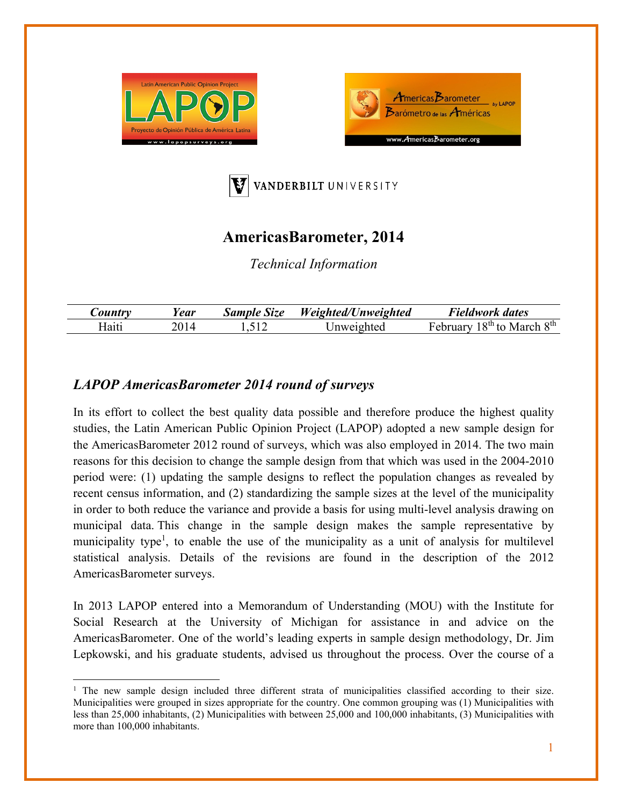





## **AmericasBarometer, 2014**

*Technical Information* 

| <i>Country</i> | rear | $\sim$<br>Size<br>Sample | Weichted<br>$^{\prime\prime\prime}/n$ weighted | Fieldwork dates               |
|----------------|------|--------------------------|------------------------------------------------|-------------------------------|
| Haiti          |      |                          |                                                | $R^{th}$ to<br>oth<br>March 3 |

## *LAPOP AmericasBarometer 2014 round of surveys*

In its effort to collect the best quality data possible and therefore produce the highest quality studies, the Latin American Public Opinion Project (LAPOP) adopted a new sample design for the AmericasBarometer 2012 round of surveys, which was also employed in 2014. The two main reasons for this decision to change the sample design from that which was used in the 2004-2010 period were: (1) updating the sample designs to reflect the population changes as revealed by recent census information, and (2) standardizing the sample sizes at the level of the municipality in order to both reduce the variance and provide a basis for using multi-level analysis drawing on municipal data. This change in the sample design makes the sample representative by municipality type<sup>1</sup>, to enable the use of the municipality as a unit of analysis for multilevel statistical analysis. Details of the revisions are found in the description of the 2012 AmericasBarometer surveys.

In 2013 LAPOP entered into a Memorandum of Understanding (MOU) with the Institute for Social Research at the University of Michigan for assistance in and advice on the AmericasBarometer. One of the world's leading experts in sample design methodology, Dr. Jim Lepkowski, and his graduate students, advised us throughout the process. Over the course of a

<sup>&</sup>lt;sup>1</sup> The new sample design included three different strata of municipalities classified according to their size. Municipalities were grouped in sizes appropriate for the country. One common grouping was (1) Municipalities with less than 25,000 inhabitants, (2) Municipalities with between 25,000 and 100,000 inhabitants, (3) Municipalities with more than 100,000 inhabitants.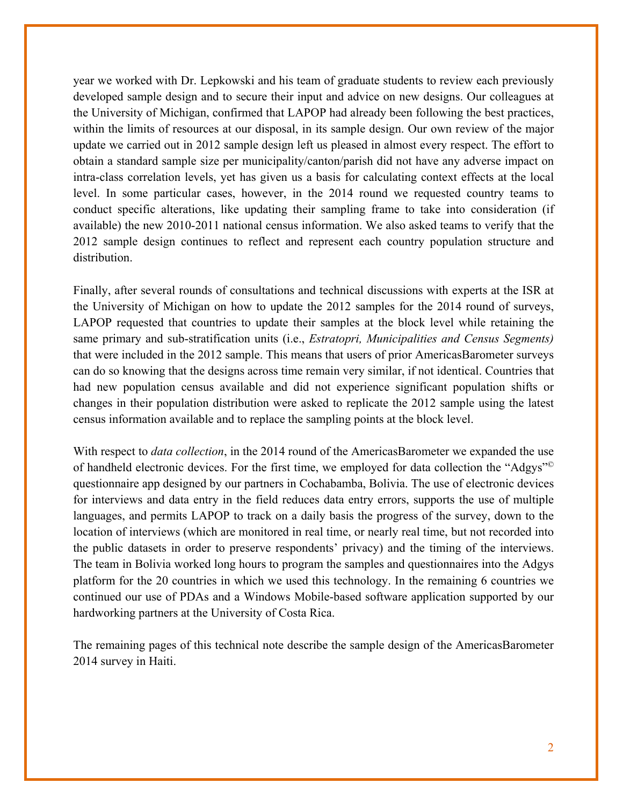year we worked with Dr. Lepkowski and his team of graduate students to review each previously developed sample design and to secure their input and advice on new designs. Our colleagues at the University of Michigan, confirmed that LAPOP had already been following the best practices, within the limits of resources at our disposal, in its sample design. Our own review of the major update we carried out in 2012 sample design left us pleased in almost every respect. The effort to obtain a standard sample size per municipality/canton/parish did not have any adverse impact on intra-class correlation levels, yet has given us a basis for calculating context effects at the local level. In some particular cases, however, in the 2014 round we requested country teams to conduct specific alterations, like updating their sampling frame to take into consideration (if available) the new 2010-2011 national census information. We also asked teams to verify that the 2012 sample design continues to reflect and represent each country population structure and distribution.

Finally, after several rounds of consultations and technical discussions with experts at the ISR at the University of Michigan on how to update the 2012 samples for the 2014 round of surveys, LAPOP requested that countries to update their samples at the block level while retaining the same primary and sub-stratification units (i.e., *Estratopri, Municipalities and Census Segments)*  that were included in the 2012 sample. This means that users of prior AmericasBarometer surveys can do so knowing that the designs across time remain very similar, if not identical. Countries that had new population census available and did not experience significant population shifts or changes in their population distribution were asked to replicate the 2012 sample using the latest census information available and to replace the sampling points at the block level.

With respect to *data collection*, in the 2014 round of the AmericasBarometer we expanded the use of handheld electronic devices. For the first time, we employed for data collection the "Adgys"© questionnaire app designed by our partners in Cochabamba, Bolivia. The use of electronic devices for interviews and data entry in the field reduces data entry errors, supports the use of multiple languages, and permits LAPOP to track on a daily basis the progress of the survey, down to the location of interviews (which are monitored in real time, or nearly real time, but not recorded into the public datasets in order to preserve respondents' privacy) and the timing of the interviews. The team in Bolivia worked long hours to program the samples and questionnaires into the Adgys platform for the 20 countries in which we used this technology. In the remaining 6 countries we continued our use of PDAs and a Windows Mobile-based software application supported by our hardworking partners at the University of Costa Rica.

The remaining pages of this technical note describe the sample design of the AmericasBarometer 2014 survey in Haiti.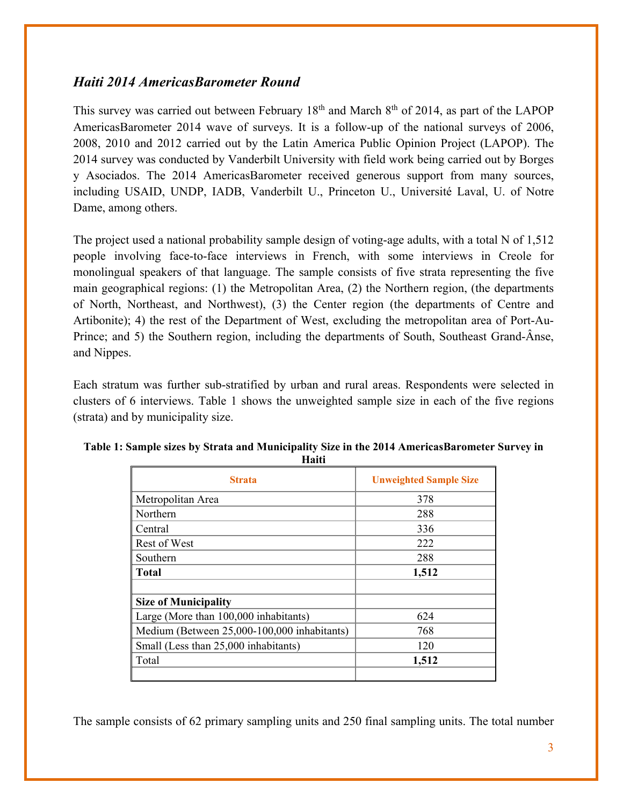## *Haiti 2014 AmericasBarometer Round*

This survey was carried out between February  $18<sup>th</sup>$  and March  $8<sup>th</sup>$  of 2014, as part of the LAPOP AmericasBarometer 2014 wave of surveys. It is a follow-up of the national surveys of 2006, 2008, 2010 and 2012 carried out by the Latin America Public Opinion Project (LAPOP). The 2014 survey was conducted by Vanderbilt University with field work being carried out by Borges y Asociados. The 2014 AmericasBarometer received generous support from many sources, including USAID, UNDP, IADB, Vanderbilt U., Princeton U., Université Laval, U. of Notre Dame, among others.

The project used a national probability sample design of voting-age adults, with a total N of 1,512 people involving face-to-face interviews in French, with some interviews in Creole for monolingual speakers of that language. The sample consists of five strata representing the five main geographical regions: (1) the Metropolitan Area, (2) the Northern region, (the departments of North, Northeast, and Northwest), (3) the Center region (the departments of Centre and Artibonite); 4) the rest of the Department of West, excluding the metropolitan area of Port-Au-Prince; and 5) the Southern region, including the departments of South, Southeast Grand-Ânse, and Nippes.

Each stratum was further sub-stratified by urban and rural areas. Respondents were selected in clusters of 6 interviews. Table 1 shows the unweighted sample size in each of the five regions (strata) and by municipality size.

| <b>Strata</b>                               | <b>Unweighted Sample Size</b> |
|---------------------------------------------|-------------------------------|
| Metropolitan Area                           | 378                           |
| Northern                                    | 288                           |
| Central                                     | 336                           |
| <b>Rest of West</b>                         | 222                           |
| Southern                                    | 288                           |
| <b>Total</b>                                | 1,512                         |
| <b>Size of Municipality</b>                 |                               |
| Large (More than 100,000 inhabitants)       | 624                           |
| Medium (Between 25,000-100,000 inhabitants) | 768                           |
| Small (Less than 25,000 inhabitants)        | 120                           |
| Total                                       | 1,512                         |

| Table 1: Sample sizes by Strata and Municipality Size in the 2014 AmericasBarometer Survey in |
|-----------------------------------------------------------------------------------------------|
| Haiti                                                                                         |

The sample consists of 62 primary sampling units and 250 final sampling units. The total number